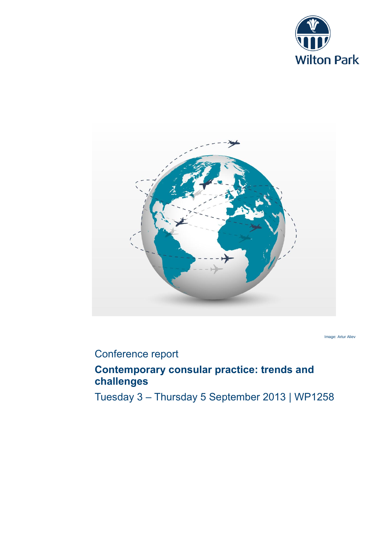



Image: Artur Aliev

# Conference report

# **Contemporary consular practice: trends and challenges**

Tuesday 3 – Thursday 5 September 2013 | WP1258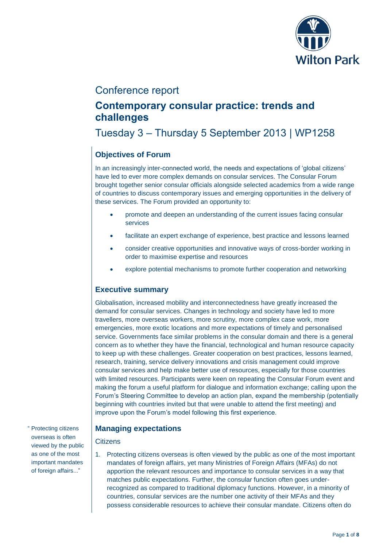

# Conference report

# **Contemporary consular practice: trends and challenges**

# Tuesday 3 – Thursday 5 September 2013 | WP1258

## **Objectives of Forum**

In an increasingly inter-connected world, the needs and expectations of 'global citizens' have led to ever more complex demands on consular services. The Consular Forum brought together senior consular officials alongside selected academics from a wide range of countries to discuss contemporary issues and emerging opportunities in the delivery of these services. The Forum provided an opportunity to:

- promote and deepen an understanding of the current issues facing consular services
- facilitate an expert exchange of experience, best practice and lessons learned
- consider creative opportunities and innovative ways of cross-border working in order to maximise expertise and resources
- explore potential mechanisms to promote further cooperation and networking

## **Executive summary**

Globalisation, increased mobility and interconnectedness have greatly increased the demand for consular services. Changes in technology and society have led to more travellers, more overseas workers, more scrutiny, more complex case work, more emergencies, more exotic locations and more expectations of timely and personalised service. Governments face similar problems in the consular domain and there is a general concern as to whether they have the financial, technological and human resource capacity to keep up with these challenges. Greater cooperation on best practices, lessons learned, research, training, service delivery innovations and crisis management could improve consular services and help make better use of resources, especially for those countries with limited resources. Participants were keen on repeating the Consular Forum event and making the forum a useful platform for dialogue and information exchange; calling upon the Forum's Steering Committee to develop an action plan, expand the membership (potentially beginning with countries invited but that were unable to attend the first meeting) and improve upon the Forum's model following this first experience.

## **Managing expectations**

### **Citizens**

1. Protecting citizens overseas is often viewed by the public as one of the most important mandates of foreign affairs, yet many Ministries of Foreign Affairs (MFAs) do not apportion the relevant resources and importance to consular services in a way that matches public expectations. Further, the consular function often goes underrecognized as compared to traditional diplomacy functions. However, in a minority of countries, consular services are the number one activity of their MFAs and they possess considerable resources to achieve their consular mandate. Citizens often do

" Protecting citizens overseas is often viewed by the public as one of the most important mandates of foreign affairs..."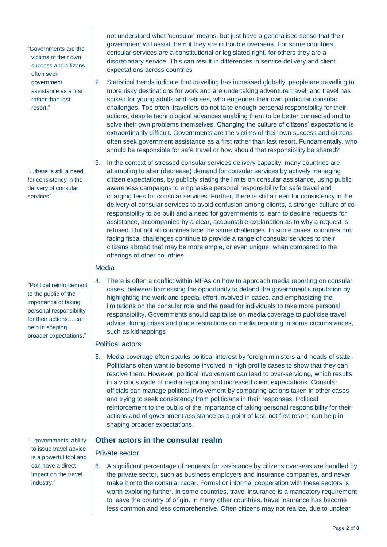"Governments are the victims of their own success and citizens often seek government assistance as a first rather than last resort."

"...there is still a need for consistency in the delivery of consular services"

"Political reinforcement to the public of the importance of taking personal responsibility for their actions….can help in shaping broader expectations."

"...governments' ability to issue travel advice is a powerful tool and can have a direct impact on the travel industry."

not understand what 'consular' means, but just have a generalised sense that their government will assist them if they are in trouble overseas. For some countries, consular services are a constitutional or legislated right, for others they are a discretionary service. This can result in differences in service delivery and client expectations across countries

- 2. Statistical trends indicate that travelling has increased globally: people are travelling to more risky destinations for work and are undertaking adventure travel; and travel has spiked for young adults and retirees, who engender their own particular consular challenges. Too often, travellers do not take enough personal responsibility for their actions, despite technological advances enabling them to be better connected and to solve their own problems themselves. Changing the culture of citizens' expectations is extraordinarily difficult. Governments are the victims of their own success and citizens often seek government assistance as a first rather than last resort. Fundamentally, who should be responsible for safe travel or how should that responsibility be shared?
- 3. In the context of stressed consular services delivery capacity, many countries are attempting to alter (decrease) demand for consular services by actively managing citizen expectations, by publicly stating the limits on consular assistance, using public awareness campaigns to emphasise personal responsibility for safe travel and charging fees for consular services. Further, there is still a need for consistency in the delivery of consular services to avoid confusion among clients, a stronger culture of coresponsibility to be built and a need for governments to learn to decline requests for assistance, accompanied by a clear, accountable explanation as to why a request is refused. But not all countries face the same challenges. In some cases, countries not facing fiscal challenges continue to provide a range of consular services to their citizens abroad that may be more ample, or even unique, when compared to the offerings of other countries

### Media

4. There is often a conflict within MFAs on how to approach media reporting on consular cases, between harnessing the opportunity to defend the government's reputation by highlighting the work and special effort involved in cases, and emphasizing the limitations on the consular role and the need for individuals to take more personal responsibility. Governments should capitalise on media coverage to publicise travel advice during crises and place restrictions on media reporting in some circumstances, such as kidnappings

### Political actors

5. Media coverage often sparks political interest by foreign ministers and heads of state. Politicians often want to become involved in high profile cases to show that they can resolve them. However, political involvement can lead to over-servicing, which results in a vicious cycle of media reporting and increased client expectations. Consular officials can manage political involvement by comparing actions taken in other cases and trying to seek consistency from politicians in their responses. Political reinforcement to the public of the importance of taking personal responsibility for their actions and of government assistance as a point of last, not first resort, can help in shaping broader expectations.

### **Other actors in the consular realm**

#### Private sector

6. A significant percentage of requests for assistance by citizens overseas are handled by the private sector, such as business employers and insurance companies, and never make it onto the consular radar. Formal or informal cooperation with these sectors is worth exploring further. In some countries, travel insurance is a mandatory requirement to leave the country of origin. In many other countries, travel insurance has become less common and less comprehensive. Often citizens may not realize, due to unclear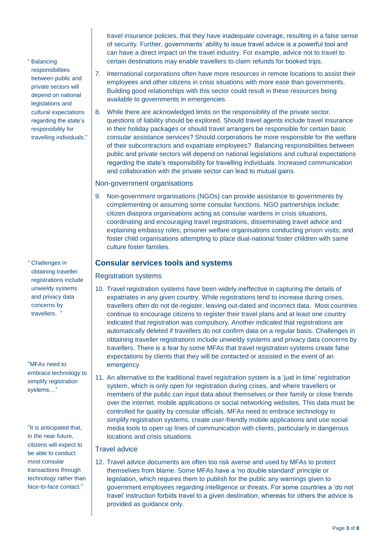travel insurance policies, that they have inadequate coverage, resulting in a false sense of security. Further, governments' ability to issue travel advice is a powerful tool and can have a direct impact on the travel industry. For example, advice not to travel to certain destinations may enable travellers to claim refunds for booked trips.

" Balancing responsibilities between public and private sectors will depend on national legislations and cultural expectations regarding the state's responsibility for travelling individuals."

" Challenges in obtaining traveller registrations include unwieldy systems and privacy data concerns by travellers.

"MFAs need to embrace technology to simplify registration systems,..."

"It is anticipated that, in the near future, citizens will expect to be able to conduct most consular transactions through technology rather than face-to-face contact."

- 7. International corporations often have more resources in remote locations to assist their employees and other citizens in crisis situations with more ease than governments. Building good relationships with this sector could result in these resources being available to governments in emergencies.
- 8. While there are acknowledged limits on the responsibility of the private sector, questions of liability should be explored. Should travel agents include travel insurance in their holiday packages or should travel arrangers be responsible for certain basic consular assistance services? Should corporations be more responsible for the welfare of their subcontractors and expatriate employees? Balancing responsibilities between public and private sectors will depend on national legislations and cultural expectations regarding the state's responsibility for travelling individuals. Increased communication and collaboration with the private sector can lead to mutual gains.

#### Non-government organisations

9. Non-government organisations (NGOs) can provide assistance to governments by complementing or assuming some consular functions. NGO partnerships include: citizen diaspora organisations acting as consular wardens in crisis situations, coordinating and encouraging travel registrations, disseminating travel advice and explaining embassy roles; prisoner welfare organisations conducting prison visits; and foster child organisations attempting to place dual-national foster children with same culture foster families.

### **Consular services tools and systems**

Registration systems

- 10. Travel registration systems have been widely ineffective in capturing the details of expatriates in any given country. While registrations tend to increase during crises, travellers often do not de-register, leaving out-dated and incorrect data. Most countries continue to encourage citizens to register their travel plans and at least one country indicated that registration was compulsory. Another indicated that registrations are automatically deleted if travellers do not confirm data on a regular basis. Challenges in obtaining traveller registrations include unwieldy systems and privacy data concerns by travellers. There is a fear by some MFAs that travel registration systems create false expectations by clients that they will be contacted or assisted in the event of an emergency.
- 11. An alternative to the traditional travel registration system is a 'just in time' registration system, which is only open for registration during crises, and where travellers or members of the public can input data about themselves or their family or close friends over the internet, mobile applications or social networking websites. This data must be controlled for quality by consular officials. MFAs need to embrace technology to simplify registration systems, create user-friendly mobile applications and use social media tools to open up lines of communication with clients, particularly in dangerous locations and crisis situations.

### Travel advice

12. Travel advice documents are often too risk averse and used by MFAs to protect themselves from blame. Some MFAs have a 'no double standard' principle or legislation, which requires them to publish for the public any warnings given to government employees regarding intelligence or threats. For some countries a 'do not travel' instruction forbids travel to a given destination, whereas for others the advice is provided as guidance only.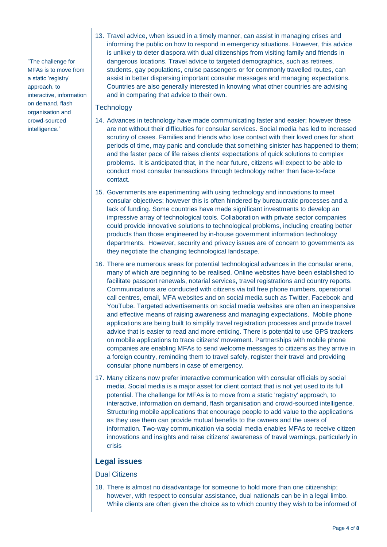"The challenge for MFAs is to move from a static 'registry' approach, to interactive, information on demand, flash organisation and crowd-sourced intelligence."

13. Travel advice, when issued in a timely manner, can assist in managing crises and informing the public on how to respond in emergency situations. However, this advice is unlikely to deter diaspora with dual citizenships from visiting family and friends in dangerous locations. Travel advice to targeted demographics, such as retirees, students, gay populations, cruise passengers or for commonly travelled routes, can assist in better dispersing important consular messages and managing expectations. Countries are also generally interested in knowing what other countries are advising and in comparing that advice to their own.

#### **Technology**

- 14. Advances in technology have made communicating faster and easier; however these are not without their difficulties for consular services. Social media has led to increased scrutiny of cases. Families and friends who lose contact with their loved ones for short periods of time, may panic and conclude that something sinister has happened to them; and the faster pace of life raises clients' expectations of quick solutions to complex problems. It is anticipated that, in the near future, citizens will expect to be able to conduct most consular transactions through technology rather than face-to-face contact.
- 15. Governments are experimenting with using technology and innovations to meet consular objectives; however this is often hindered by bureaucratic processes and a lack of funding. Some countries have made significant investments to develop an impressive array of technological tools. Collaboration with private sector companies could provide innovative solutions to technological problems, including creating better products than those engineered by in-house government information technology departments. However, security and privacy issues are of concern to governments as they negotiate the changing technological landscape.
- 16. There are numerous areas for potential technological advances in the consular arena, many of which are beginning to be realised. Online websites have been established to facilitate passport renewals, notarial services, travel registrations and country reports. Communications are conducted with citizens via toll free phone numbers, operational call centres, email, MFA websites and on social media such as Twitter, Facebook and YouTube. Targeted advertisements on social media websites are often an inexpensive and effective means of raising awareness and managing expectations. Mobile phone applications are being built to simplify travel registration processes and provide travel advice that is easier to read and more enticing. There is potential to use GPS trackers on mobile applications to trace citizens' movement. Partnerships with mobile phone companies are enabling MFAs to send welcome messages to citizens as they arrive in a foreign country, reminding them to travel safely, register their travel and providing consular phone numbers in case of emergency.
- 17. Many citizens now prefer interactive communication with consular officials by social media. Social media is a major asset for client contact that is not yet used to its full potential. The challenge for MFAs is to move from a static 'registry' approach, to interactive, information on demand, flash organisation and crowd-sourced intelligence. Structuring mobile applications that encourage people to add value to the applications as they use them can provide mutual benefits to the owners and the users of information. Two-way communication via social media enables MFAs to receive citizen innovations and insights and raise citizens' awareness of travel warnings, particularly in crisis

## **Legal issues**

### Dual Citizens

18. There is almost no disadvantage for someone to hold more than one citizenship; however, with respect to consular assistance, dual nationals can be in a legal limbo. While clients are often given the choice as to which country they wish to be informed of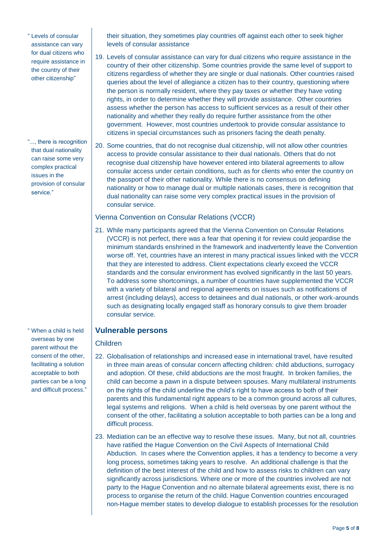" Levels of consular assistance can vary for dual citizens who require assistance in the country of their other citizenship"

"..., there is recognition that dual nationality can raise some very complex practical issues in the provision of consular service."

" When a child is held overseas by one parent without the consent of the other, facilitating a solution acceptable to both parties can be a long and difficult process."

their situation, they sometimes play countries off against each other to seek higher levels of consular assistance

- 19. Levels of consular assistance can vary for dual citizens who require assistance in the country of their other citizenship. Some countries provide the same level of support to citizens regardless of whether they are single or dual nationals. Other countries raised queries about the level of allegiance a citizen has to their country, questioning where the person is normally resident, where they pay taxes or whether they have voting rights, in order to determine whether they will provide assistance. Other countries assess whether the person has access to sufficient services as a result of their other nationality and whether they really do require further assistance from the other government. However, most countries undertook to provide consular assistance to citizens in special circumstances such as prisoners facing the death penalty.
- 20. Some countries, that do not recognise dual citizenship, will not allow other countries access to provide consular assistance to their dual nationals. Others that do not recognise dual citizenship have however entered into bilateral agreements to allow consular access under certain conditions, such as for clients who enter the country on the passport of their other nationality. While there is no consensus on defining nationality or how to manage dual or multiple nationals cases, there is recognition that dual nationality can raise some very complex practical issues in the provision of consular service.

#### Vienna Convention on Consular Relations (VCCR)

21. While many participants agreed that the Vienna Convention on Consular Relations (VCCR) is not perfect, there was a fear that opening it for review could jeopardise the minimum standards enshrined in the framework and inadvertently leave the Convention worse off. Yet, countries have an interest in many practical issues linked with the VCCR that they are interested to address. Client expectations clearly exceed the VCCR standards and the consular environment has evolved significantly in the last 50 years. To address some shortcomings, a number of countries have supplemented the VCCR with a variety of bilateral and regional agreements on issues such as notifications of arrest (including delays), access to detainees and dual nationals, or other work-arounds such as designating locally engaged staff as honorary consuls to give them broader consular service.

### **Vulnerable persons**

### Children

- 22. Globalisation of relationships and increased ease in international travel, have resulted in three main areas of consular concern affecting children: child abductions, surrogacy and adoption. Of these, child abductions are the most fraught. In broken families, the child can become a pawn in a dispute between spouses. Many multilateral instruments on the rights of the child underline the child's right to have access to both of their parents and this fundamental right appears to be a common ground across all cultures, legal systems and religions. When a child is held overseas by one parent without the consent of the other, facilitating a solution acceptable to both parties can be a long and difficult process.
- 23. Mediation can be an effective way to resolve these issues. Many, but not all, countries have ratified the Hague Convention on the Civil Aspects of International Child Abduction. In cases where the Convention applies, it has a tendency to become a very long process, sometimes taking years to resolve. An additional challenge is that the definition of the best interest of the child and how to assess risks to children can vary significantly across jurisdictions. Where one or more of the countries involved are not party to the Hague Convention and no alternate bilateral agreements exist, there is no process to organise the return of the child. Hague Convention countries encouraged non-Hague member states to develop dialogue to establish processes for the resolution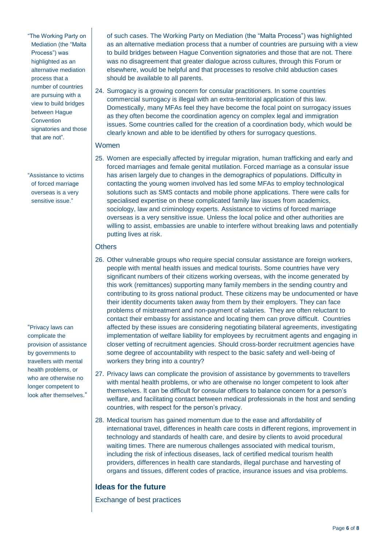"The Working Party on Mediation (the "Malta Process") was highlighted as an alternative mediation process that a number of countries are pursuing with a view to build bridges between Hague **Convention** signatories and those that are not".

"Assistance to victims of forced marriage overseas is a very sensitive issue."

"Privacy laws can complicate the provision of assistance by governments to travellers with mental health problems, or who are otherwise no longer competent to look after themselves."

of such cases. The Working Party on Mediation (the "Malta Process") was highlighted as an alternative mediation process that a number of countries are pursuing with a view to build bridges between Hague Convention signatories and those that are not. There was no disagreement that greater dialogue across cultures, through this Forum or elsewhere, would be helpful and that processes to resolve child abduction cases should be available to all parents.

24. Surrogacy is a growing concern for consular practitioners. In some countries commercial surrogacy is illegal with an extra-territorial application of this law. Domestically, many MFAs feel they have become the focal point on surrogacy issues as they often become the coordination agency on complex legal and immigration issues. Some countries called for the creation of a coordination body, which would be clearly known and able to be identified by others for surrogacy questions.

#### Women

25. Women are especially affected by irregular migration, human trafficking and early and forced marriages and female genital mutilation. Forced marriage as a consular issue has arisen largely due to changes in the demographics of populations. Difficulty in contacting the young women involved has led some MFAs to employ technological solutions such as SMS contacts and mobile phone applications. There were calls for specialised expertise on these complicated family law issues from academics, sociology, law and criminology experts. Assistance to victims of forced marriage overseas is a very sensitive issue. Unless the local police and other authorities are willing to assist, embassies are unable to interfere without breaking laws and potentially putting lives at risk.

## **Others**

- 26. Other vulnerable groups who require special consular assistance are foreign workers, people with mental health issues and medical tourists. Some countries have very significant numbers of their citizens working overseas, with the income generated by this work (remittances) supporting many family members in the sending country and contributing to its gross national product. These citizens may be undocumented or have their identity documents taken away from them by their employers. They can face problems of mistreatment and non-payment of salaries. They are often reluctant to contact their embassy for assistance and locating them can prove difficult. Countries affected by these issues are considering negotiating bilateral agreements, investigating implementation of welfare liability for employees by recruitment agents and engaging in closer vetting of recruitment agencies. Should cross-border recruitment agencies have some degree of accountability with respect to the basic safety and well-being of workers they bring into a country?
- 27. Privacy laws can complicate the provision of assistance by governments to travellers with mental health problems, or who are otherwise no longer competent to look after themselves. It can be difficult for consular officers to balance concern for a person's welfare, and facilitating contact between medical professionals in the host and sending countries, with respect for the person's privacy.
- 28. Medical tourism has gained momentum due to the ease and affordability of international travel, differences in health care costs in different regions, improvement in technology and standards of health care, and desire by clients to avoid procedural waiting times. There are numerous challenges associated with medical tourism, including the risk of infectious diseases, lack of certified medical tourism health providers, differences in health care standards, illegal purchase and harvesting of organs and tissues, different codes of practice, insurance issues and visa problems.

## **Ideas for the future**

Exchange of best practices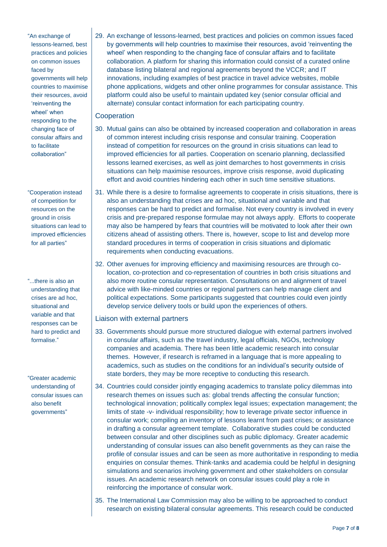"An exchange of lessons-learned, best practices and policies on common issues faced by governments will help countries to maximise their resources, avoid 'reinventing the wheel' when responding to the changing face of consular affairs and to facilitate collaboration"

"Cooperation instead of competition for resources on the ground in crisis situations can lead to improved efficiencies for all parties"

"...there is also an understanding that crises are ad hoc, situational and variable and that responses can be hard to predict and formalise."

"Greater academic understanding of consular issues can also benefit governments"

29. An exchange of lessons-learned, best practices and policies on common issues faced by governments will help countries to maximise their resources, avoid 'reinventing the wheel' when responding to the changing face of consular affairs and to facilitate collaboration. A platform for sharing this information could consist of a curated online database listing bilateral and regional agreements beyond the VCCR; and IT innovations, including examples of best practice in travel advice websites, mobile phone applications, widgets and other online programmes for consular assistance. This platform could also be useful to maintain updated key (senior consular official and alternate) consular contact information for each participating country.

#### **Cooperation**

- 30. Mutual gains can also be obtained by increased cooperation and collaboration in areas of common interest including crisis response and consular training. Cooperation instead of competition for resources on the ground in crisis situations can lead to improved efficiencies for all parties. Cooperation on scenario planning, declassified lessons learned exercises, as well as joint demarches to host governments in crisis situations can help maximise resources, improve crisis response, avoid duplicating effort and avoid countries hindering each other in such time sensitive situations.
- 31. While there is a desire to formalise agreements to cooperate in crisis situations, there is also an understanding that crises are ad hoc, situational and variable and that responses can be hard to predict and formalise. Not every country is involved in every crisis and pre-prepared response formulae may not always apply. Efforts to cooperate may also be hampered by fears that countries will be motivated to look after their own citizens ahead of assisting others. There is, however, scope to list and develop more standard procedures in terms of cooperation in crisis situations and diplomatic requirements when conducting evacuations.
- 32. Other avenues for improving efficiency and maximising resources are through colocation, co-protection and co-representation of countries in both crisis situations and also more routine consular representation. Consultations on and alignment of travel advice with like-minded countries or regional partners can help manage client and political expectations. Some participants suggested that countries could even jointly develop service delivery tools or build upon the experiences of others.

#### Liaison with external partners

- 33. Governments should pursue more structured dialogue with external partners involved in consular affairs, such as the travel industry, legal officials, NGOs, technology companies and academia. There has been little academic research into consular themes. However, if research is reframed in a language that is more appealing to academics, such as studies on the conditions for an individual's security outside of state borders, they may be more receptive to conducting this research.
- 34. Countries could consider jointly engaging academics to translate policy dilemmas into research themes on issues such as: global trends affecting the consular function; technological innovation; politically complex legal issues; expectation management; the limits of state -v- individual responsibility; how to leverage private sector influence in consular work; compiling an inventory of lessons learnt from past crises; or assistance in drafting a consular agreement template. Collaborative studies could be conducted between consular and other disciplines such as public diplomacy. Greater academic understanding of consular issues can also benefit governments as they can raise the profile of consular issues and can be seen as more authoritative in responding to media enquiries on consular themes. Think-tanks and academia could be helpful in designing simulations and scenarios involving government and other stakeholders on consular issues. An academic research network on consular issues could play a role in reinforcing the importance of consular work.
- 35. The International Law Commission may also be willing to be approached to conduct research on existing bilateral consular agreements. This research could be conducted